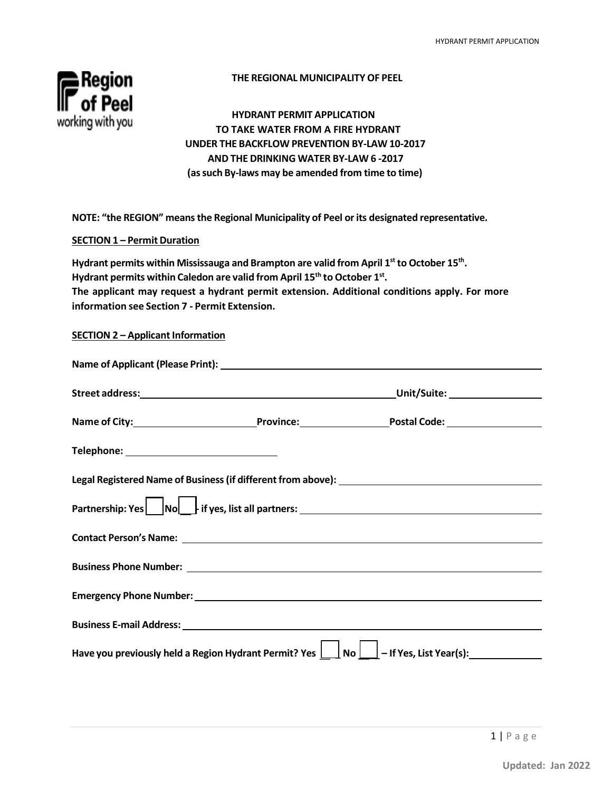

# **THE REGIONAL MUNICIPALITY OF PEEL**

**HYDRANT PERMIT APPLICATION TO TAKE WATER FROM A FIRE HYDRANT UNDER THE BACKFLOW PREVENTION BY-LAW 10-2017 AND THE DRINKING WATER BY-LAW 6 -2017 (assuch By-laws may be amended from time to time)**

**NOTE: "the REGION" meansthe Regional Municipality of Peel orits designated representative.**

#### **SECTION 1 – Permit Duration**

**Hydrant permits within Mississauga and Brampton are valid from April 1st to October 15th. Hydrant permits within Caledon are valid from April 15th to October 1st. The applicant may request a hydrant permit extension. Additional conditions apply. For more information see Section 7 - Permit Extension.**

#### **SECTION 2 – Applicant Information**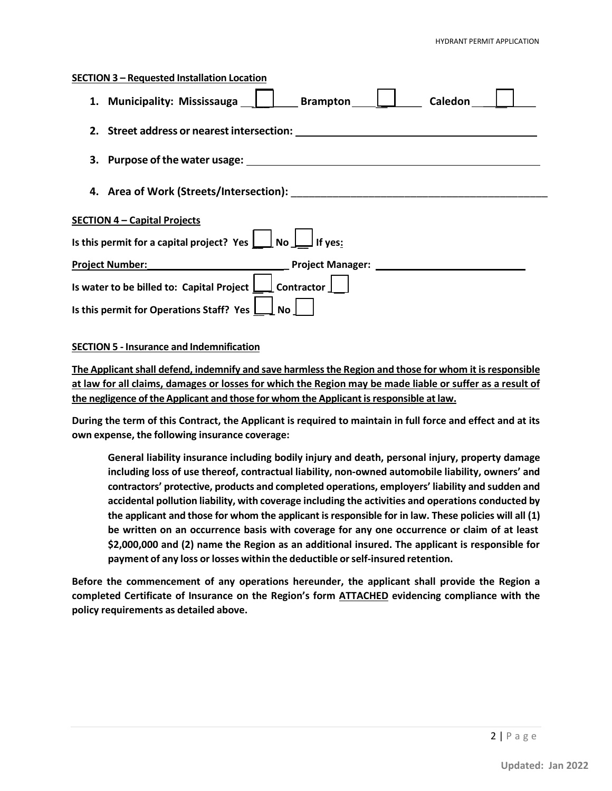# Brampton | Caledon **\_\_ \_\_ Is this permit for a capital project? Yes \_ No \_ If yes: Contractor SECTION 3 – Requested Installation Location 1. Municipality: Mississauga 2. Street address or nearestintersection: 3. Purpose of the water usage: 4. Area of Work (Streets/Intersection):** \_\_\_\_\_\_\_\_\_\_\_\_\_\_\_\_\_\_\_\_\_\_\_\_\_\_\_\_\_\_\_\_\_\_\_\_\_\_\_\_\_\_\_ **SECTION 4 – Capital Projects Project Number: \_ Project Manager: Is** water to be billed to: Capital Project

## **SECTION 5 - Insurance and Indemnification**

**Is this permit for Operations Staff? Yes**  $\Box$ 

**The Applicantshall defend, indemnify and save harmlessthe Region and those for whom it isresponsible at law for all claims, damages or losses for which the Region may be made liable or suffer as a result of the negligence ofthe Applicant and those for whom the Applicant isresponsible at law.**

**\_\_ \_\_**

**During the term of this Contract, the Applicant is required to maintain in full force and effect and at its own expense, the following insurance coverage:**

**General liability insurance including bodily injury and death, personal injury, property damage including loss of use thereof, contractual liability, non-owned automobile liability, owners' and contractors' protective, products and completed operations, employers' liability and sudden and accidental pollution liability, with coverage including the activities and operations conducted by the applicant and those for whom the applicant is responsible for in law. These policies will all (1) be written on an occurrence basis with coverage for any one occurrence or claim of at least \$2,000,000 and (2) name the Region as an additional insured. The applicant is responsible for payment of any loss or losses within the deductible orself-insured retention.**

**Before the commencement of any operations hereunder, the applicant shall provide the Region a completed Certificate of Insurance on the Region's form ATTACHED evidencing compliance with the policy requirements as detailed above.**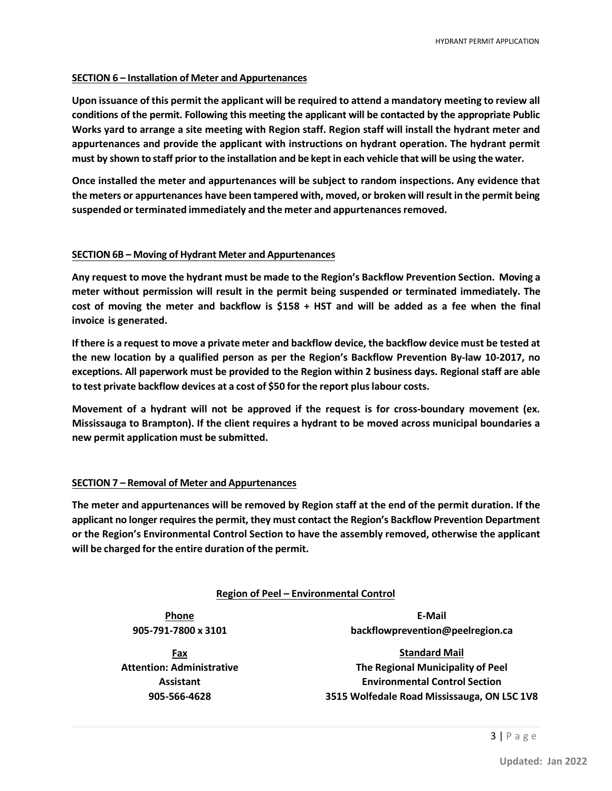#### **SECTION 6 – Installation of Meter and Appurtenances**

**Upon issuance of this permit the applicant will be required to attend a mandatory meeting to review all conditions of the permit. Following this meeting the applicant will be contacted by the appropriate Public Works yard to arrange a site meeting with Region staff. Region staff will install the hydrant meter and appurtenances and provide the applicant with instructions on hydrant operation. The hydrant permit** must by shown to staff prior to the installation and be kept in each vehicle that will be using the water.

**Once installed the meter and appurtenances will be subject to random inspections. Any evidence that the meters or appurtenances have been tampered with, moved, or broken will result in the permit being suspended or terminated immediately and the meter and appurtenancesremoved.**

#### **SECTION 6B – Moving of Hydrant Meter and Appurtenances**

**Any request to move the hydrant must be made to the Region's Backflow Prevention Section. Moving a meter without permission will result in the permit being suspended or terminated immediately. The**  cost of moving the meter and backflow is  $$158 + HST$  and will be added as a fee when the final **invoice is generated.**

**If there is a request to move a private meter and backflow device, the backflow device must be tested at the new location by a qualified person as per the Region's Backflow Prevention By-law 10-2017, no exceptions. All paperwork must be provided to the Region within 2 business days. Regional staff are able to test private backflow devices at a cost of \$50 for the report pluslabour costs.**

**Movement of a hydrant will not be approved if the request is for cross-boundary movement (ex. Mississauga to Brampton). If the client requires a hydrant to be moved across municipal boundaries a new permit application must be submitted.**

#### **SECTION 7 – Removal of Meter and Appurtenances**

**The meter and appurtenances will be removed by Region staff at the end of the permit duration. If the applicant no longer requiresthe permit, they must contact the Region's Backflow Prevention Department or the Region's Environmental Control Section to have the assembly removed, otherwise the applicant will be charged for the entire duration of the permit.**

#### **Region of Peel – Environmental Control**

**Phone 905-791-7800 x 3101**

**Fax Attention: Administrative Assistant 905-566-4628**

**E-Mail [backflowprevention@peelregion.ca](mailto:backflowprevention@peelregion.ca)**

**Standard Mail The Regional Municipality of Peel Environmental Control Section 3515 Wolfedale Road Mississauga, ON L5C 1V8**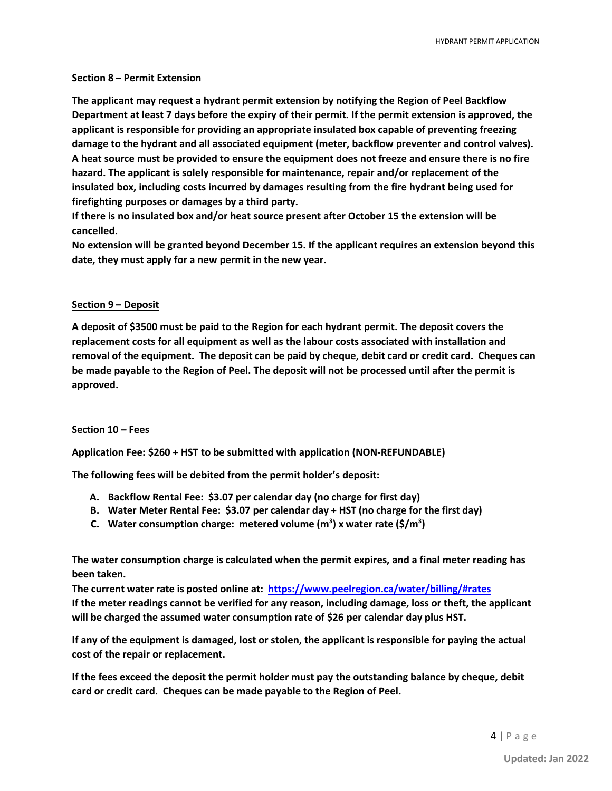#### **Section 8 – Permit Extension**

**The applicant may request a hydrant permit extension by notifying the Region of Peel Backflow Department at least 7 days before the expiry of their permit. If the permit extension is approved, the applicant is responsible for providing an appropriate insulated box capable of preventing freezing damage to the hydrant and all associated equipment (meter, backflow preventer and control valves). A heat source must be provided to ensure the equipment does not freeze and ensure there is no fire hazard. The applicant is solely responsible for maintenance, repair and/or replacement of the insulated box, including costs incurred by damages resulting from the fire hydrant being used for firefighting purposes or damages by a third party.**

**If there is no insulated box and/or heat source present after October 15 the extension will be cancelled.**

**No extension will be granted beyond December 15. If the applicant requires an extension beyond this date, they must apply for a new permit in the new year.**

## **Section 9 – Deposit**

**A deposit of \$3500 must be paid to the Region for each hydrant permit. The deposit covers the replacement costs for all equipment as well as the labour costs associated with installation and removal of the equipment. The deposit can be paid by cheque, debit card or credit card. Cheques can be made payable to the Region of Peel. The deposit will not be processed until after the permit is approved.**

#### **Section 10 – Fees**

**Application Fee: \$260 + HST to be submitted with application (NON-REFUNDABLE)** 

**The following fees will be debited from the permit holder's deposit:**

- **A. Backflow Rental Fee: \$3.07 per calendar day (no charge for first day)**
- **B. Water Meter Rental Fee: \$3.07 per calendar day + HST (no charge for the first day)**
- **C. Water consumption charge: metered volume (m<sup>3</sup> ) x water rate (\$/m<sup>3</sup> )**

**The water consumption charge is calculated when the permit expires, and a final meter reading has been taken.**

**The current water rate is posted online at: <https://www.peelregion.ca/water/billing/#rates> If the meter readings cannot be verified for any reason, including damage, loss or theft, the applicant will be charged the assumed water consumption rate of \$26 per calendar day plus HST.** 

**If any of the equipment is damaged, lost or stolen, the applicant is responsible for paying the actual cost of the repair or replacement.**

**If the fees exceed the deposit the permit holder must pay the outstanding balance by cheque, debit card or credit card. Cheques can be made payable to the Region of Peel.**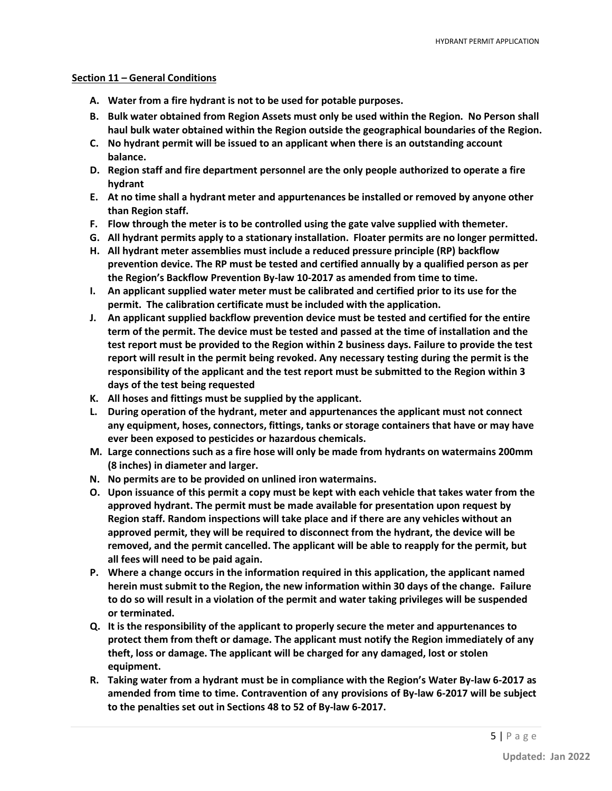#### **Section 11 – General Conditions**

- **A. Water from a fire hydrant is not to be used for potable purposes.**
- **B. Bulk water obtained from Region Assets must only be used within the Region. No Person shall haul bulk water obtained within the Region outside the geographical boundaries of the Region.**
- **C. No hydrant permit will be issued to an applicant when there is an outstanding account balance.**
- **D. Region staff and fire department personnel are the only people authorized to operate a fire hydrant**
- **E. At no time shall a hydrant meter and appurtenances be installed or removed by anyone other than Region staff.**
- **F. Flow through the meter is to be controlled using the gate valve supplied with themeter.**
- **G. All hydrant permits apply to a stationary installation. Floater permits are no longer permitted.**
- **H. All hydrant meter assemblies must include a reduced pressure principle (RP) backflow prevention device. The RP must be tested and certified annually by a qualified person as per the Region's Backflow Prevention By-law 10-2017 as amended from time to time.**
- **I. An applicant supplied water meter must be calibrated and certified prior to its use for the permit. The calibration certificate must be included with the application.**
- **J. An applicant supplied backflow prevention device must be tested and certified for the entire term of the permit. The device must be tested and passed at the time of installation and the test report must be provided to the Region within 2 business days. Failure to provide the test report will result in the permit being revoked. Any necessary testing during the permit is the responsibility of the applicant and the test report must be submitted to the Region within 3 days of the test being requested**
- **K. All hoses and fittings must be supplied by the applicant.**
- **L. During operation of the hydrant, meter and appurtenances the applicant must not connect any equipment, hoses, connectors, fittings, tanks or storage containers that have or may have ever been exposed to pesticides or hazardous chemicals.**
- **M. Large connections such as a fire hose will only be made from hydrants on watermains 200mm (8 inches) in diameter and larger.**
- **N. No permits are to be provided on unlined iron watermains.**
- **O. Upon issuance of this permit a copy must be kept with each vehicle that takes water from the approved hydrant. The permit must be made available for presentation upon request by Region staff. Random inspections will take place and if there are any vehicles without an approved permit, they will be required to disconnect from the hydrant, the device will be removed, and the permit cancelled. The applicant will be able to reapply for the permit, but all fees will need to be paid again.**
- **P. Where a change occurs in the information required in this application, the applicant named herein must submit to the Region, the new information within 30 days of the change. Failure to do so will result in a violation of the permit and water taking privileges will be suspended or terminated.**
- **Q. It is the responsibility of the applicant to properly secure the meter and appurtenances to protect them from theft or damage. The applicant must notify the Region immediately of any theft, loss or damage. The applicant will be charged for any damaged, lost or stolen equipment.**
- **R. Taking water from a hydrant must be in compliance with the Region's Water By-law 6-2017 as amended from time to time. Contravention of any provisions of By-law 6-2017 will be subject to the penalties set out in Sections 48 to 52 of By-law 6-2017.**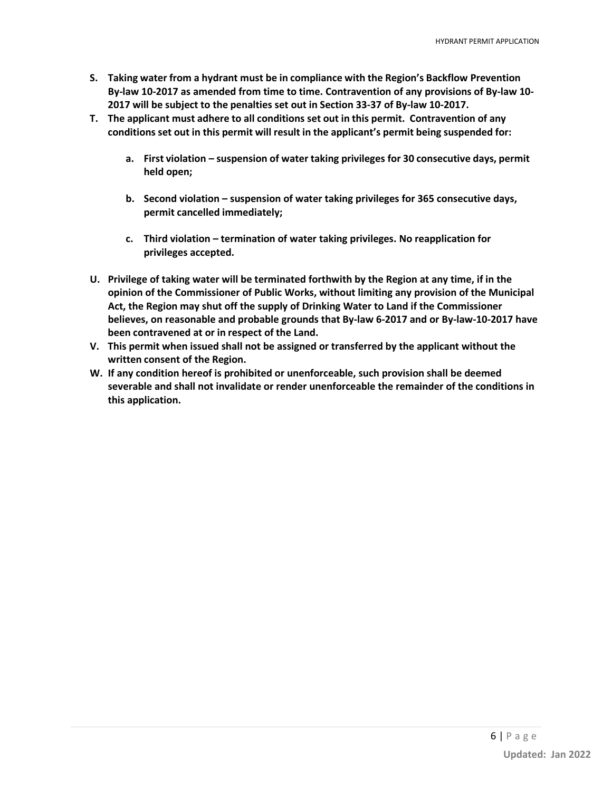- **S. Taking water from a hydrant must be in compliance with the Region's Backflow Prevention By-law 10-2017 as amended from time to time. Contravention of any provisions of By-law 10- 2017 will be subject to the penalties set out in Section 33-37 of By-law 10-2017.**
- **T. The applicant must adhere to all conditions set out in this permit. Contravention of any conditions set out in this permit will result in the applicant's permit being suspended for:**
	- **a. First violation suspension of water taking privileges for 30 consecutive days, permit held open;**
	- **b. Second violation suspension of water taking privileges for 365 consecutive days, permit cancelled immediately;**
	- **c. Third violation termination of water taking privileges. No reapplication for privileges accepted.**
- **U. Privilege of taking water will be terminated forthwith by the Region at any time, if in the opinion of the Commissioner of Public Works, without limiting any provision of the Municipal Act, the Region may shut off the supply of Drinking Water to Land if the Commissioner believes, on reasonable and probable grounds that By-law 6-2017 and or By-law-10-2017 have been contravened at or in respect of the Land.**
- **V. This permit when issued shall not be assigned or transferred by the applicant without the written consent of the Region.**
- **W. If any condition hereof is prohibited or unenforceable, such provision shall be deemed severable and shall not invalidate or render unenforceable the remainder of the conditions in this application.**